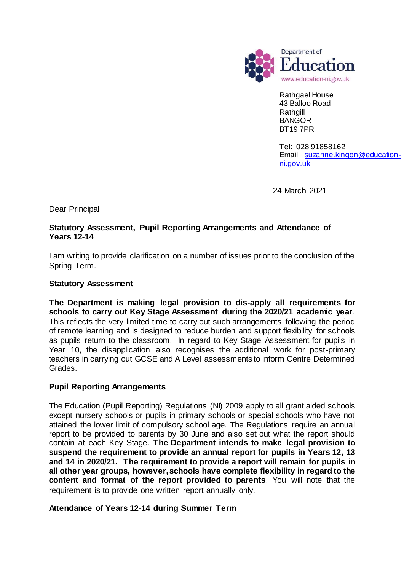

Rathgael House 43 Balloo Road Rathgill BANGOR BT19 7PR

Tel: 028 91858162 Email: [suzanne.kingon@education](mailto:suzanne.kingon@education-ni.gov.uk)[ni.gov.uk](mailto:suzanne.kingon@education-ni.gov.uk)

24 March 2021

Dear Principal

## **Statutory Assessment, Pupil Reporting Arrangements and Attendance of Years 12-14**

I am writing to provide clarification on a number of issues prior to the conclusion of the Spring Term.

## **Statutory Assessment**

**The Department is making legal provision to dis-apply all requirements for schools to carry out Key Stage Assessment during the 2020/21 academic year**. This reflects the very limited time to carry out such arrangements following the period of remote learning and is designed to reduce burden and support flexibility for schools as pupils return to the classroom. In regard to Key Stage Assessment for pupils in Year 10, the disapplication also recognises the additional work for post-primary teachers in carrying out GCSE and A Level assessments to inform Centre Determined Grades.

## **Pupil Reporting Arrangements**

The Education (Pupil Reporting) Regulations (NI) 2009 apply to all grant aided schools except nursery schools or pupils in primary schools or special schools who have not attained the lower limit of compulsory school age. The Regulations require an annual report to be provided to parents by 30 June and also set out what the report should contain at each Key Stage. **The Department intends to make legal provision to suspend the requirement to provide an annual report for pupils in Years 12, 13 and 14 in 2020/21. The requirement to provide a report will remain for pupils in all other year groups, however, schools have complete flexibility in regard to the content and format of the report provided to parents**. You will note that the requirement is to provide one written report annually only.

## **Attendance of Years 12-14 during Summer Term**